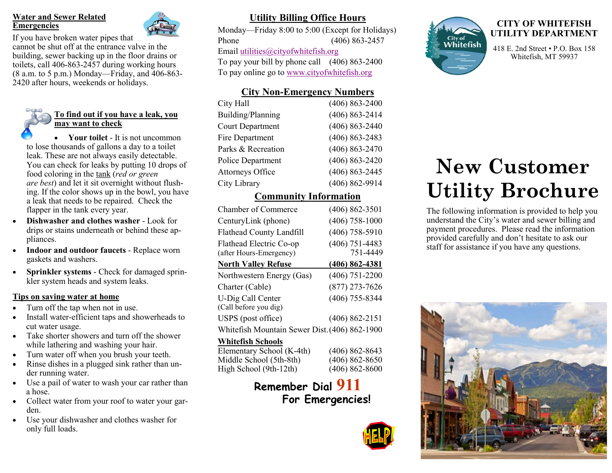#### **Water and Sewer Related Emergencies**



If you have broken water pipes that cannot be shut off at the entrance valve in the building, sewer backing up in the floor drains or toilets, call 406-863-2457 during working hours (8 a.m. to 5 p.m.) Monday—Friday, and 406-863- 2420 after hours, weekends or holidays.



• **Your toilet** - It is not uncommon to lose thousands of gallons a day to a toilet leak. These are not always easily detectable. You can check for leaks by putting 10 drops of food coloring in the tank (*red or green are best*) and let it sit overnight without flushing. If the color shows up in the bowl, you have a leak that needs to be repaired. Check the flapper in the tank every year.

- **Dishwasher and clothes washer**  Look for drips or stains underneath or behind these appliances.
- **Indoor and outdoor faucets**  Replace worn gaskets and washers.
- **Sprinkler systems**  Check for damaged sprinkler system heads and system leaks.

#### **Tips on saving water at home**

- Turn off the tap when not in use.
- Install water-efficient taps and showerheads to cut water usage.
- Take shorter showers and turn off the shower while lathering and washing your hair.
- Turn water off when you brush your teeth.
- Rinse dishes in a plugged sink rather than under running water.
- Use a pail of water to wash your car rather than a hose.
- Collect water from your roof to water your garden.
- Use your dishwasher and clothes washer for only full loads.

# **Utility Billing Office Hours**

Monday—Friday 8:00 to 5:00 (Except for Holidays) Phone (406) 863-2457 Email [utilities@cityofwhitefish.org](mailto:utilities@cityofwhitefish.org) To pay your bill by phone call (406) 863-2400 To pay online go to [www.cityofwhitefish.org](http://www.whitefish.govoffice.com) 

# **City Non-Emergency Numbers**

| City Hall               | $(406) 863 - 2400$ |
|-------------------------|--------------------|
| Building/Planning       | $(406) 863 - 2414$ |
| <b>Court Department</b> | $(406) 863 - 2440$ |
| Fire Department         | $(406) 863 - 2483$ |
| Parks & Recreation      | $(406) 863 - 2470$ |
| Police Department       | $(406) 863 - 2420$ |
| <b>Attorneys Office</b> | $(406) 863 - 2445$ |
| City Library            | $(406) 862 - 9914$ |
|                         |                    |

## **Community Information**

| <b>Chamber of Commerce</b>                         | $(406) 862 - 3501$           |
|----------------------------------------------------|------------------------------|
| CenturyLink (phone)                                | $(406)$ 758-1000             |
| Flathead County Landfill                           | $(406)$ 758-5910             |
| Flathead Electric Co-op<br>(after Hours-Emergency) | $(406)$ 751-4483<br>751-4449 |
| <b>North Valley Refuse</b>                         | $(406) 862 - 4381$           |
| Northwestern Energy (Gas)                          | $(406)$ 751-2200             |
| Charter (Cable)                                    | $(877)$ 273-7626             |
| U-Dig Call Center<br>(Call before you dig)         | $(406)$ 755-8344             |
| USPS (post office)                                 | $(406) 862 - 2151$           |
| Whitefish Mountain Sewer Dist. (406) 862-1900      |                              |
| <b>Whitefish Schools</b>                           |                              |
| Elementary School (K-4th)                          | (406) 862-8643               |

| <b>THILLET DENOTE</b>     |                    |
|---------------------------|--------------------|
| Elementary School (K-4th) | $(406) 862 - 8643$ |
| Middle School (5th-8th)   | $(406) 862 - 8650$ |
| High School (9th-12th)    | $(406) 862 - 8600$ |

# **Remember Dial 911 For Emergencies!**





#### **CITY OF WHITEFISH UTILITY DEPARTMENT**

418 E. 2nd Street • P.O. Box 158 Whitefish, MT 59937

# **New Customer Utility Brochure**

The following information is provided to help you understand the City's water and sewer billing and payment procedures. Please read the information provided carefully and don't hesitate to ask our staff for assistance if you have any questions.